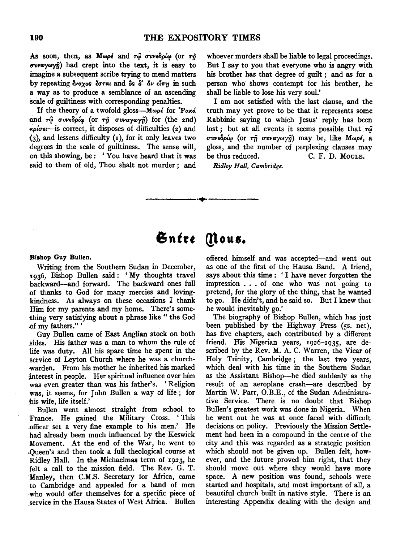As soon, then, as Mwpé and  $\tau\hat{\varphi}$  ovvedpix (or  $\tau\hat{\eta}$  $f(x) = f(x) + f(x)$  had crept into the text, it is easy to imagine a subsequent scribe trying to mend matters by repeating *lvoxos* loval and  $\delta s$   $\delta'$   $\delta v$   $\epsilon \ell \pi \eta$  in such a way as to produce a semblance of an ascending 5cale of guiltiness with corresponding penalties.

If the theory of a twofold gloss- $M\omega\rho\epsilon$  for 'Paka and τω συνεδρίω (or τη συναγωγη) for (the 2nd)  $\kappa \rho \omega \omega$ -is correct, it disposes of difficulties (2) and  $(3)$ , and lessens difficulty  $(1)$ , for it only leaves two degrees in the scale of guiltiness. The sense will, on this showing, be: 'You have heard that it was said to them of old, Thou shalt not murder ; and

whoever murders shall be liable to legal proceedings. But I say to you that everyone who is angry with his brother has that degree of guilt ; and as for a person who shows contempt for his brother, he shall be liable to lose his very soul.'

I am not satisfied with the last clause, and the truth may yet prove to be that it represents some Rabbinic saying to which Jesus' reply has been lost; but at all events it seems possible that  $\tau\hat{\varphi}$ uvvE8p{ft' (or *Tjj* uvvay"'yjj) may be, like *Mwpl,* a gloss, and the number of perplexing clauses may be thus reduced. C. F. D. Moule.

*Ridley Hall, Cambridge.* 

# Entre *Mous.*

#### Bishop Guy Bullen,

Writing from the Southern Sudan in December, 1936, Bishop Bullen said: 'My thoughts travel backward-and forward. The backward ones full of thanks to God for many mercies and lovingkindness. As always on these occasions I thank Him for my parents and my home. There's some- -thing very satisfying about a phrase like " the God .of my fathers." '

Guy Bullen came of East Anglian stock on both sides. His father was a man to whom the rule of life was duty. All his spare time he spent in the .service of Leyton Church where he was a church warden. From his mother he inherited his marked interest in people. Her spiritual influence over him was even greater than was his father's. 'Religion was, it seems, for John Bullen a way of life; for his wife, life itself.

Bullen went almost straight from school to ·France. He gained the Military Cross. ' This .-Officer set a very fine example to his men.' He had already been much influenced by the Keswick Movement. At the end of the War, he went to .Queen's and then took a full theological course at Ridley Hall. In the Michaelmas term of 1923, he felt a call to the mission field. The Rev. G. T. Manley, then C.M.S. Secretary for Africa, came to Cambridge and appealed for a band of men who would offer themselves for a specific piece of .service in the Hausa States of West Africa. Bullen

offered himself and was accepted-and went out as one of the first of the Hausa Band. A friend, says about this time : ' I have never forgotten the impression . . . of one who was not going to pretend, for the glory of the thing, that he wanted to go. He didn't, and he said so. But I knew that he would inevitably go.'

The biography of Bishop Bullen, which has just been published by the Highway Press (5s. net), has five chapters, each contributed by a different friend. His Nigerian years, 1926-1935, are described by the Rev. M. A. C. Warren, the Vicar of Holy Trinity, Cambridge; the last two years, which deal with his time in the Southern Sudan as the Assistant Bishop-he died suddenly as the result of an aeroplane crash-are described by Martin W. Parr, O.B.E., of the Sudan Administrative Service. There is no doubt that Bishop Bullen's greatest work was done in Nigeria. When he went out he was at once faced with difficult decisions on policy. Previously the Mission Settlement had been in a compound in the centre of the city and this was regarded as a strategic position which should not be given up. Bullen felt, however, and the future proved him right, that they should move out where they would have more space. A new position was found, schools were started and hospitals, and most important of all, a beautiful church built in native style. There is an interesting Appendix dealing with the design and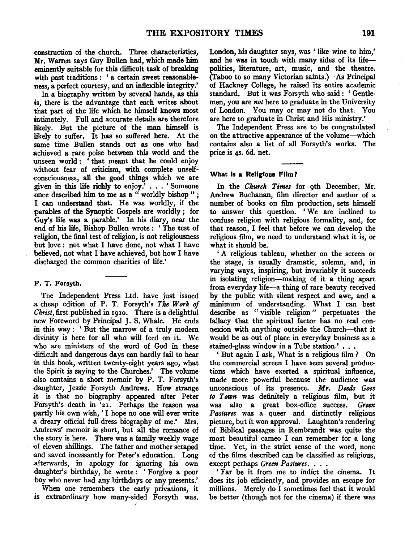construction of the church. Three characteristics, Mr. Warren says Guy Bullen had, which made him eminently suitable for this difficult task of breaking with past traditions : ' a certain sweet reasonableness, a perfect courtesy, and an inflexible integrity.'

In a biography written by several hands, as this is, there is the advantage that each writes about that part of the life which he himself knows most intimately. Full and accurate details are therefore likely. But the picture of the man himself is likely to suffer. It has so suffered here. At the same time Bullen stands out as one who had achieved a rare poise between this world and the unseen world: 'that meant that he could enjoy without fear of criticism, with complete unself consciousness, all the good things which we are given in this life richly to enjoy.' ... 'Someone once described him to me as a " worldly bishop "; I can understand that. He was worldly, if the parables of the Synoptic Gospels are worldly ; for Guy's life was a parable.' In his diary, near the end of his life, Bishop Bullen wrote : ' The test of religion, the final test of religion, is not religiousness but love: not what I have done, not what I have believed, not what I have achieved, but how I have discharged the common charities of life.'

## P. T. Forsyth.

The Independent Press Ltd. have just issued a cheap edition of P. T. Forsyth's *The Work of Christ,* first published in 1910. There is a delightful new Foreword by Principal J. S. Whale. He ends in this way : ' But the marrow of a truly modem divinity is here for all who will feed on it. We who are ministers of the word of God in these difficult and dangerous days can hardly fail to hear in this book, written twenty-eight years ago, what the Spirit is saying to the Churches.' The volume :also contains a short memoir by P. T. Forsyth's daughter, Jessie Forsyth Andrews. How strange it is that no biography appeared after Peter Forsyth's death in '21. Perhaps the reason was partly his own wish, 'I hope no one will ever write .a dreary official full-dress biography of me.' Mrs. Andrews' memoir is short, but all the romance of the story is here. There was a family weekly wage 'Of eleven shillings. The father and mother scraped and saved incessantly for Peter's education. Long .afterwards, in apology for ignoring his own daughter's birthday, he wrote: 'Forgive a poor boy who never had any birthdays or any presents.'

When one remembers the early privations, it is extraordinary how many-sided Forsyth was.

London, his daughter says, was ' like wine to him,' and he was in touch with many sides of its lifepolitics, literature, art, music, and the theatre. (Taboo to so many Victorian saints.) ·As Principal of Hackney College, he raised its entire academic standard. But it was Forsyth who said: 'Gentlemen, you are *not* here to graduate in the University of London. You may or may not do that. You are here to graduate in Christ and His ministry.'

The Independent Press are to be congratulated on the attractive appearance of the volume-which contains also a list of all Forsyth's works. The price is 4S· 6d. net.

### What is a Religious Film?

In the *Church Times* for 9th December, Mr. Andrew Buchanan, film director and author of a number of books on film production, sets himself to answer this question. ' We are inclined to confuse religion with religious formality, and, for that reason, I feel that before we can develop the religious film, we need to understand what it is, or what it should be.

'A religious tableau, whether on the screen or the stage, is usually dramatic, solemn, and, in varying ways, inspiring, but invariably it succeeds in isolating religion-making of it a thing apart from everyday life-a thing of rare beauty received by the public with silent respect and awe, and a minimum of understanding. What I can best describe as " visible religion " perpetuates the fallacy that the spiritual factor has no real connexion with anything outside the Church-that it would be as out of place in everyday business as a stained-glass window in a Tube station.'...

' But again I ask, What is a religious film ? On the commercial screen I have seen several productions which have exerted a spiritual influence, made more powerful because the audience was unconscious of its presence. *Mr. Deeds Goes*  to Town was definitely a religious film, but it was also a great box-office success. *Green Pastures* was a queer and distinctly religious picture, but it won approval. Laughton's rendering of Biblical passages in Rembrandt was quite the most beautiful cameo I can remember for a long time. Yet, in the strict sense of the word, none of the films described can be classified as religious, except perhaps *Green Pastures.* . . . ·

' Far be it from me to indict the cinema. It does its job efficiently, and provides an escape for millions. Merely do I sometimes feel that it would be better (though not for the cinema) if there was